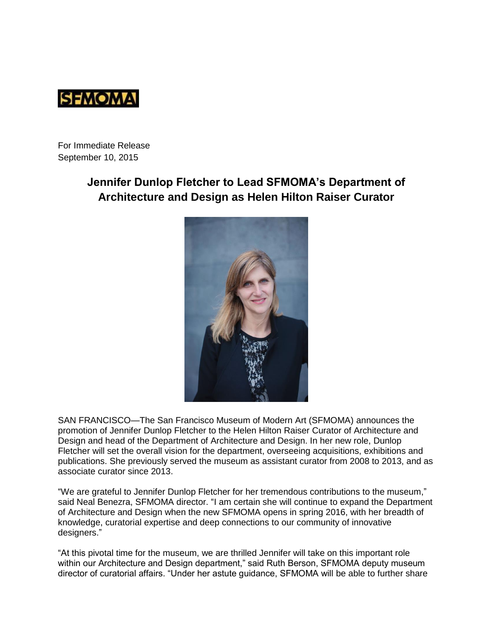

For Immediate Release September 10, 2015

# **Jennifer Dunlop Fletcher to Lead SFMOMA's Department of Architecture and Design as Helen Hilton Raiser Curator**



SAN FRANCISCO—The San Francisco Museum of Modern Art (SFMOMA) announces the promotion of Jennifer Dunlop Fletcher to the Helen Hilton Raiser Curator of Architecture and Design and head of the Department of Architecture and Design. In her new role, Dunlop Fletcher will set the overall vision for the department, overseeing acquisitions, exhibitions and publications. She previously served the museum as assistant curator from 2008 to 2013, and as associate curator since 2013.

"We are grateful to Jennifer Dunlop Fletcher for her tremendous contributions to the museum," said Neal Benezra, SFMOMA director. "I am certain she will continue to expand the Department of Architecture and Design when the new SFMOMA opens in spring 2016, with her breadth of knowledge, curatorial expertise and deep connections to our community of innovative designers."

"At this pivotal time for the museum, we are thrilled Jennifer will take on this important role within our Architecture and Design department," said Ruth Berson, SFMOMA deputy museum director of curatorial affairs. "Under her astute guidance, SFMOMA will be able to further share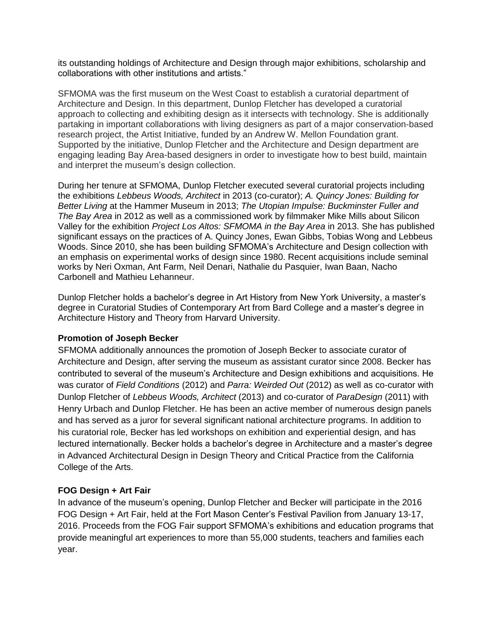its outstanding holdings of Architecture and Design through major exhibitions, scholarship and collaborations with other institutions and artists."

SFMOMA was the first museum on the West Coast to establish a curatorial department of Architecture and Design. In this department, Dunlop Fletcher has developed a curatorial approach to collecting and exhibiting design as it intersects with technology. She is additionally partaking in important collaborations with living designers as part of a major conservation-based research project, the Artist Initiative, funded by an Andrew W. Mellon Foundation grant. Supported by the initiative, Dunlop Fletcher and the Architecture and Design department are engaging leading Bay Area-based designers in order to investigate how to best build, maintain and interpret the museum's design collection.

During her tenure at SFMOMA, Dunlop Fletcher executed several curatorial projects including the exhibitions *Lebbeus Woods, Architect* in 2013 (co-curator); *A. Quincy Jones: Building for Better Living* at the Hammer Museum in 2013; *The Utopian Impulse: Buckminster Fuller and The Bay Area* in 2012 as well as a commissioned work by filmmaker Mike Mills about Silicon Valley for the exhibition *Project Los Altos: SFMOMA in the Bay Area* in 2013. She has published significant essays on the practices of A. Quincy Jones, Ewan Gibbs, Tobias Wong and Lebbeus Woods. Since 2010, she has been building SFMOMA's Architecture and Design collection with an emphasis on experimental works of design since 1980. Recent acquisitions include seminal works by Neri Oxman, Ant Farm, Neil Denari, Nathalie du Pasquier, Iwan Baan, Nacho Carbonell and Mathieu Lehanneur.

Dunlop Fletcher holds a bachelor's degree in Art History from New York University, a master's degree in Curatorial Studies of Contemporary Art from Bard College and a master's degree in Architecture History and Theory from Harvard University.

## **Promotion of Joseph Becker**

SFMOMA additionally announces the promotion of Joseph Becker to associate curator of Architecture and Design, after serving the museum as assistant curator since 2008. Becker has contributed to several of the museum's Architecture and Design exhibitions and acquisitions. He was curator of *Field Conditions* (2012) and *Parra: Weirded Out* (2012) as well as co-curator with Dunlop Fletcher of *Lebbeus Woods, Architect* (2013) and co-curator of *ParaDesign* (2011) with Henry Urbach and Dunlop Fletcher. He has been an active member of numerous design panels and has served as a juror for several significant national architecture programs. In addition to his curatorial role, Becker has led workshops on exhibition and experiential design, and has lectured internationally. Becker holds a bachelor's degree in Architecture and a master's degree in Advanced Architectural Design in Design Theory and Critical Practice from the California College of the Arts.

## **FOG Design + Art Fair**

In advance of the museum's opening, Dunlop Fletcher and Becker will participate in the 2016 FOG Design + Art Fair, held at the Fort Mason Center's Festival Pavilion from January 13-17, 2016. Proceeds from the FOG Fair support SFMOMA's exhibitions and education programs that provide meaningful art experiences to more than 55,000 students, teachers and families each year.